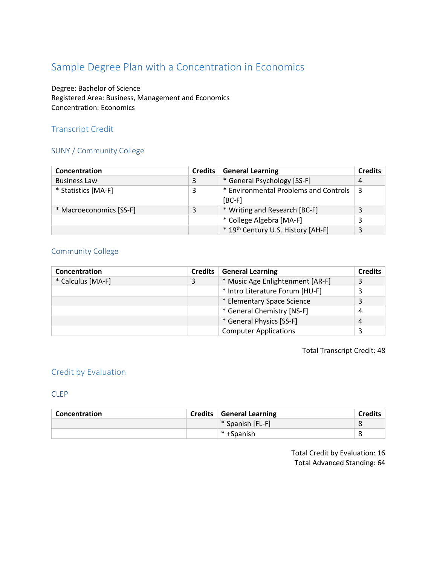# Sample Degree Plan with a Concentration in Economics

Degree: Bachelor of Science Registered Area: Business, Management and Economics Concentration: Economics

#### Transcript Credit

### SUNY / Community College

| Concentration           | <b>Credits</b> | <b>General Learning</b>                           | <b>Credits</b> |
|-------------------------|----------------|---------------------------------------------------|----------------|
| <b>Business Law</b>     | 3              | * General Psychology [SS-F]                       | $\overline{4}$ |
| * Statistics [MA-F]     |                | * Environmental Problems and Controls<br>$[BC-F]$ |                |
| * Macroeconomics [SS-F] |                | * Writing and Research [BC-F]                     |                |
|                         |                | * College Algebra [MA-F]                          |                |
|                         |                | * 19th Century U.S. History [AH-F]                |                |

#### Community College

| Concentration     | <b>Credits</b> | <b>General Learning</b>          | <b>Credits</b> |
|-------------------|----------------|----------------------------------|----------------|
| * Calculus [MA-F] |                | * Music Age Enlightenment [AR-F] |                |
|                   |                | * Intro Literature Forum [HU-F]  |                |
|                   |                | * Elementary Space Science       |                |
|                   |                | * General Chemistry [NS-F]       | 4              |
|                   |                | * General Physics [SS-F]         | 4              |
|                   |                | <b>Computer Applications</b>     |                |

Total Transcript Credit: 48

### Credit by Evaluation

CLEP

| Concentration | <b>Credits   General Learning</b> |  |
|---------------|-----------------------------------|--|
|               | * Spanish [FL-F]                  |  |
|               | * +Spanish                        |  |

Total Credit by Evaluation: 16 Total Advanced Standing: 64